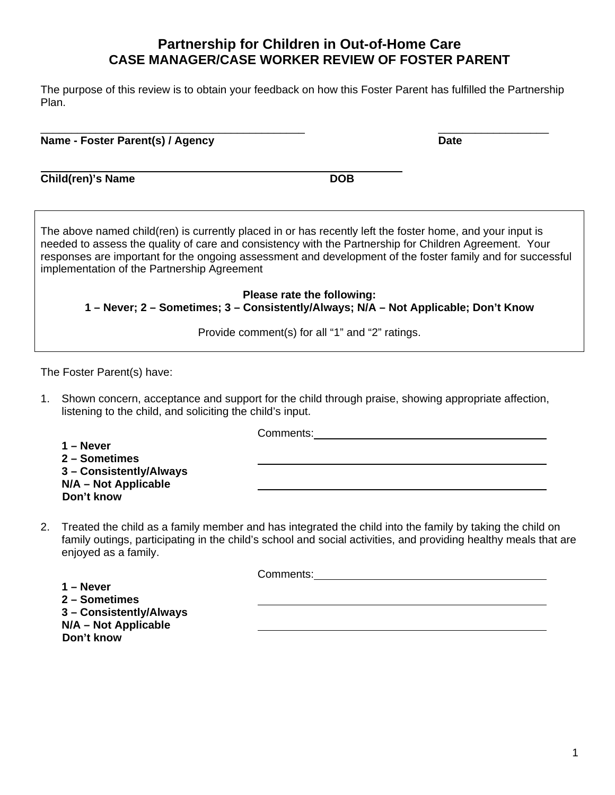The purpose of this review is to obtain your feedback on how this Foster Parent has fulfilled the Partnership Plan.

 $\overline{\phantom{a}}$  , and the contract of the contract of the contract of the contract of the contract of the contract of the contract of the contract of the contract of the contract of the contract of the contract of the contrac **Name - Foster Parent(s) / Agency <b>Date Date Date Date** 

**Child(ren)'s Name DOB** 

The above named child(ren) is currently placed in or has recently left the foster home, and your input is needed to assess the quality of care and consistency with the Partnership for Children Agreement. Your responses are important for the ongoing assessment and development of the foster family and for successful implementation of the Partnership Agreement

**Please rate the following: 1 – Never; 2 – Sometimes; 3 – Consistently/Always; N/A – Not Applicable; Don't Know** 

Provide comment(s) for all "1" and "2" ratings.

The Foster Parent(s) have:

1. Shown concern, acceptance and support for the child through praise, showing appropriate affection, listening to the child, and soliciting the child's input.

Comments:

**1 – Never 2 – Sometimes 3 – Consistently/Always N/A – Not Applicable Don't know** 

2. Treated the child as a family member and has integrated the child into the family by taking the child on family outings, participating in the child's school and social activities, and providing healthy meals that are enjoyed as a family.

Comments:

**1 – Never 2 – Sometimes 3 – Consistently/Always N/A – Not Applicable Don't know**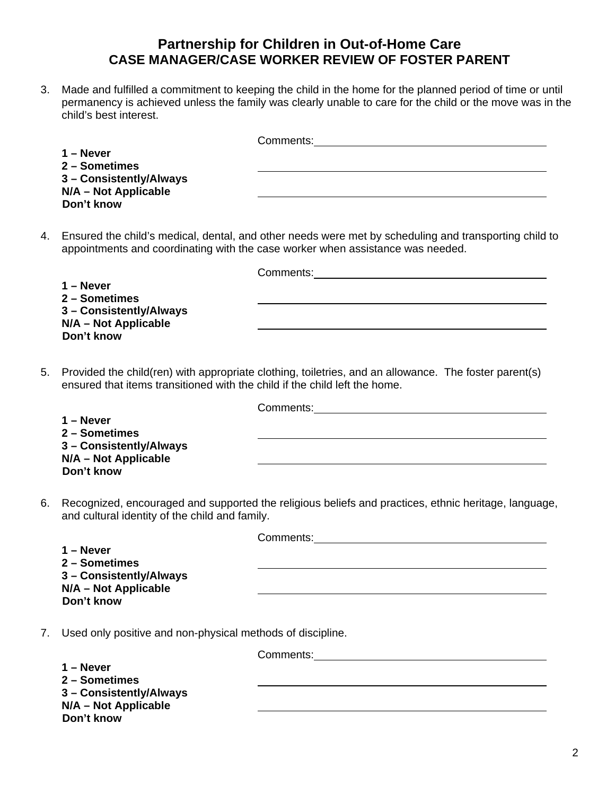3. Made and fulfilled a commitment to keeping the child in the home for the planned period of time or until permanency is achieved unless the family was clearly unable to care for the child or the move was in the child's best interest.

|                         | Comments: |
|-------------------------|-----------|
| $1 -$ Never             |           |
| 2 - Sometimes           |           |
| 3 - Consistently/Always |           |
| N/A - Not Applicable    |           |
| Don't know              |           |

4. Ensured the child's medical, dental, and other needs were met by scheduling and transporting child to appointments and coordinating with the case worker when assistance was needed.

**1 – Never 2 – Sometimes 3 – Consistently/Always N/A – Not Applicable Don't know** 

Comments:

5. Provided the child(ren) with appropriate clothing, toiletries, and an allowance. The foster parent(s) ensured that items transitioned with the child if the child left the home.

|                         | Comments: |
|-------------------------|-----------|
| 1 – Never               |           |
| 2 - Sometimes           |           |
| 3 - Consistently/Always |           |
| $N/A - Not Applicable$  |           |
| Don't know              |           |

6. Recognized, encouraged and supported the religious beliefs and practices, ethnic heritage, language, and cultural identity of the child and family.

Comments:

|                         | ouninuus. |
|-------------------------|-----------|
| 1 – Never               |           |
| 2 – Sometimes           |           |
| 3 – Consistently/Always |           |
| N/A - Not Applicable    |           |
| Don't know              |           |
|                         |           |

7. Used only positive and non-physical methods of discipline.

Comments: **1 – Never 2 – Sometimes 3 – Consistently/Always N/A – Not Applicable Don't know**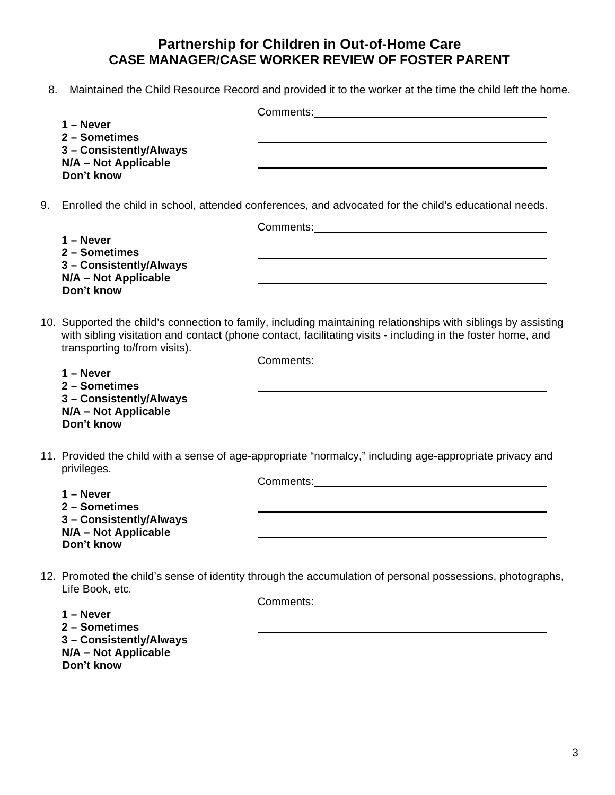8. Maintained the Child Resource Record and provided it to the worker at the time the child left the home.

|    |                                                                                                                  | Comments: <u>comments:</u> comments: comments: comments: comments: comments: comments: comments: comments: comments: comments: comments: comments: comments: comments: comments: comments: comments: comments: comments: comments:                                                                                                              |  |
|----|------------------------------------------------------------------------------------------------------------------|-------------------------------------------------------------------------------------------------------------------------------------------------------------------------------------------------------------------------------------------------------------------------------------------------------------------------------------------------|--|
|    | $1 -$ Never<br>2 - Sometimes<br>3 - Consistently/Always<br>N/A - Not Applicable<br>Don't know                    |                                                                                                                                                                                                                                                                                                                                                 |  |
| 9. | Enrolled the child in school, attended conferences, and advocated for the child's educational needs.             |                                                                                                                                                                                                                                                                                                                                                 |  |
|    | $1 -$ Never<br>2 - Sometimes<br>3 - Consistently/Always<br>N/A - Not Applicable<br>Don't know                    | and the control of the control of the control of the control of the control of the control of the control of the                                                                                                                                                                                                                                |  |
|    | transporting to/from visits).                                                                                    | 10. Supported the child's connection to family, including maintaining relationships with siblings by assisting<br>with sibling visitation and contact (phone contact, facilitating visits - including in the foster home, and                                                                                                                   |  |
|    | $1 -$ Never<br>2 - Sometimes<br>3 - Consistently/Always<br>N/A - Not Applicable<br>Don't know                    |                                                                                                                                                                                                                                                                                                                                                 |  |
|    | privileges.<br>$1 -$ Never<br>2 - Sometimes<br>3 - Consistently/Always<br>N/A - Not Applicable<br>Don't know     | 11. Provided the child with a sense of age-appropriate "normalcy," including age-appropriate privacy and                                                                                                                                                                                                                                        |  |
|    | Life Book, etc.<br>$1 -$ Never<br>2 - Sometimes<br>3 - Consistently/Always<br>N/A - Not Applicable<br>Don't know | 12. Promoted the child's sense of identity through the accumulation of personal possessions, photographs,<br>Comments: <u>comments:</u> comments: comments: comments: comments: comments: comments: comments: comments: comments: comments: comments: comments: comments: comments: comments: comments: comments: comments: comments: comments: |  |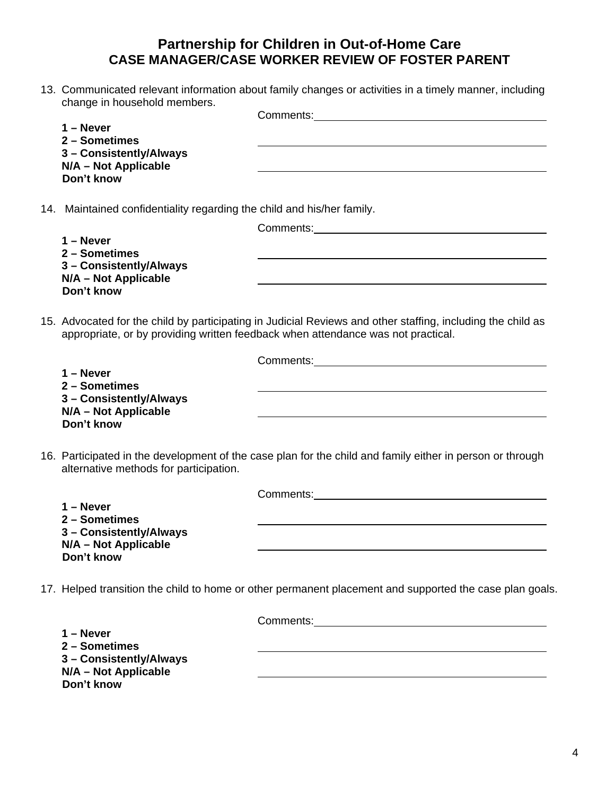13. Communicated relevant information about family changes or activities in a timely manner, including change in household members.

Comments:

**1 – Never 2 – Sometimes 3 – Consistently/Always N/A – Not Applicable Don't know** 

14. Maintained confidentiality regarding the child and his/her family.

Comments:

**1 – Never 2 – Sometimes 3 – Consistently/Always N/A – Not Applicable Don't know** 

15. Advocated for the child by participating in Judicial Reviews and other staffing, including the child as appropriate, or by providing written feedback when attendance was not practical.

Comments:

**1 – Never 2 – Sometimes 3 – Consistently/Always N/A – Not Applicable Don't know** 

16. Participated in the development of the case plan for the child and family either in person or through alternative methods for participation.

Comments:

**1 – Never 2 – Sometimes 3 – Consistently/Always N/A – Not Applicable Don't know** 

17. Helped transition the child to home or other permanent placement and supported the case plan goals.

Comments:

**1 – Never 2 – Sometimes 3 – Consistently/Always N/A – Not Applicable Don't know**